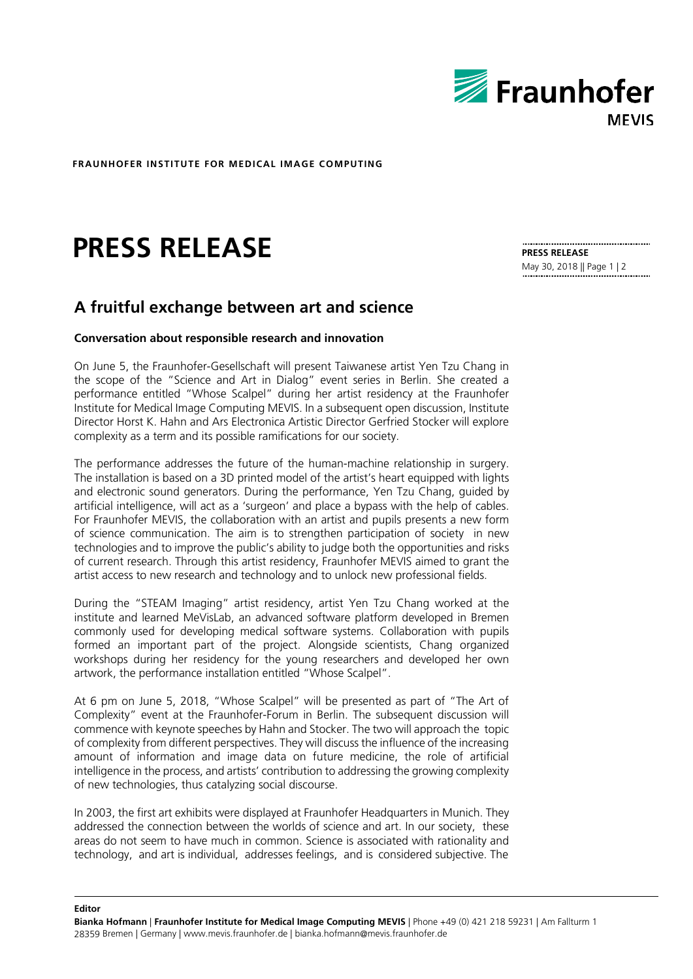

**FRAUNHOFER INSTITUTE FOR MEDICAL IMAGE COMPUTING**

## **PRESS RELEASE**

## **A fruitful exchange between art and science**

## **Conversation about responsible research and innovation**

On June 5, the Fraunhofer-Gesellschaft will present Taiwanese artist Yen Tzu Chang in the scope of the "Science and Art in Dialog" event series in Berlin. She created a performance entitled "Whose Scalpel" during her artist residency at the Fraunhofer Institute for Medical Image Computing MEVIS. In a subsequent open discussion, Institute Director Horst K. Hahn and Ars Electronica Artistic Director Gerfried Stocker will explore complexity as a term and its possible ramifications for our society.

The performance addresses the future of the human-machine relationship in surgery. The installation is based on a 3D printed model of the artist's heart equipped with lights and electronic sound generators. During the performance, Yen Tzu Chang, guided by artificial intelligence, will act as a 'surgeon' and place a bypass with the help of cables. For Fraunhofer MEVIS, the collaboration with an artist and pupils presents a new form of science communication. The aim is to strengthen participation of society in new technologies and to improve the public's ability to judge both the opportunities and risks of current research. Through this artist residency, Fraunhofer MEVIS aimed to grant the artist access to new research and technology and to unlock new professional fields.

During the "STEAM Imaging" artist residency, artist Yen Tzu Chang worked at the institute and learned MeVisLab, an advanced software platform developed in Bremen commonly used for developing medical software systems. Collaboration with pupils formed an important part of the project. Alongside scientists, Chang organized workshops during her residency for the young researchers and developed her own artwork, the performance installation entitled "Whose Scalpel".

At 6 pm on June 5, 2018, "Whose Scalpel" will be presented as part of "The Art of Complexity" event at the Fraunhofer-Forum in Berlin. The subsequent discussion will commence with keynote speeches by Hahn and Stocker. The two will approach the topic of complexity from different perspectives. They will discuss the influence of the increasing amount of information and image data on future medicine, the role of artificial intelligence in the process, and artists' contribution to addressing the growing complexity of new technologies, thus catalyzing social discourse.

In 2003, the first art exhibits were displayed at Fraunhofer Headquarters in Munich. They addressed the connection between the worlds of science and art. In our society, these areas do not seem to have much in common. Science is associated with rationality and technology, and art is individual, addresses feelings, and is considered subjective. The

**PRESS RELEASE** May 30, 2018 || Page 1 | 2

**Editor**